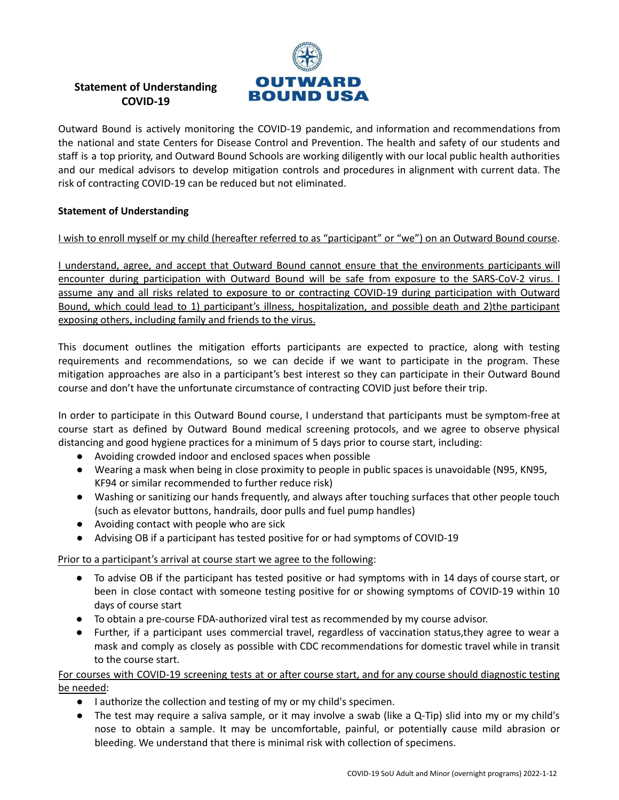

## **Statement of Understanding COVID-19**

Outward Bound is actively monitoring the COVID-19 pandemic, and information and recommendations from the national and state Centers for Disease Control and Prevention. The health and safety of our students and staff is a top priority, and Outward Bound Schools are working diligently with our local public health authorities and our medical advisors to develop mitigation controls and procedures in alignment with current data. The risk of contracting COVID-19 can be reduced but not eliminated.

## **Statement of Understanding**

I wish to enroll myself or my child (hereafter referred to as "participant" or "we") on an Outward Bound course.

I understand, agree, and accept that Outward Bound cannot ensure that the environments participants will encounter during participation with Outward Bound will be safe from exposure to the SARS-CoV-2 virus. I assume any and all risks related to exposure to or contracting COVID-19 during participation with Outward Bound, which could lead to 1) participant's illness, hospitalization, and possible death and 2)the participant exposing others, including family and friends to the virus.

This document outlines the mitigation efforts participants are expected to practice, along with testing requirements and recommendations, so we can decide if we want to participate in the program. These mitigation approaches are also in a participant's best interest so they can participate in their Outward Bound course and don't have the unfortunate circumstance of contracting COVID just before their trip.

In order to participate in this Outward Bound course, I understand that participants must be symptom-free at course start as defined by Outward Bound medical screening protocols, and we agree to observe physical distancing and good hygiene practices for a minimum of 5 days prior to course start, including:

- Avoiding crowded indoor and enclosed spaces when possible
- Wearing a mask when being in close proximity to people in public spaces is unavoidable (N95, KN95, KF94 or similar recommended to further reduce risk)
- Washing or sanitizing our hands frequently, and always after touching surfaces that other people touch (such as elevator buttons, handrails, door pulls and fuel pump handles)
- Avoiding contact with people who are sick
- Advising OB if a participant has tested positive for or had symptoms of COVID-19

## Prior to a participant's arrival at course start we agree to the following:

- To advise OB if the participant has tested positive or had symptoms with in 14 days of course start, or been in close contact with someone testing positive for or showing symptoms of COVID-19 within 10 days of course start
- To obtain a pre-course FDA-authorized viral test as recommended by my course advisor.
- Further, if a participant uses commercial travel, regardless of vaccination status,they agree to wear a mask and comply as closely as possible with CDC recommendations for domestic travel while in transit to the course start.

## For courses with COVID-19 screening tests at or after course start, and for any course should diagnostic testing be needed:

- I authorize the collection and testing of my or my child's specimen.
- The test may require a saliva sample, or it may involve a swab (like a Q-Tip) slid into my or my child's nose to obtain a sample. It may be uncomfortable, painful, or potentially cause mild abrasion or bleeding. We understand that there is minimal risk with collection of specimens.